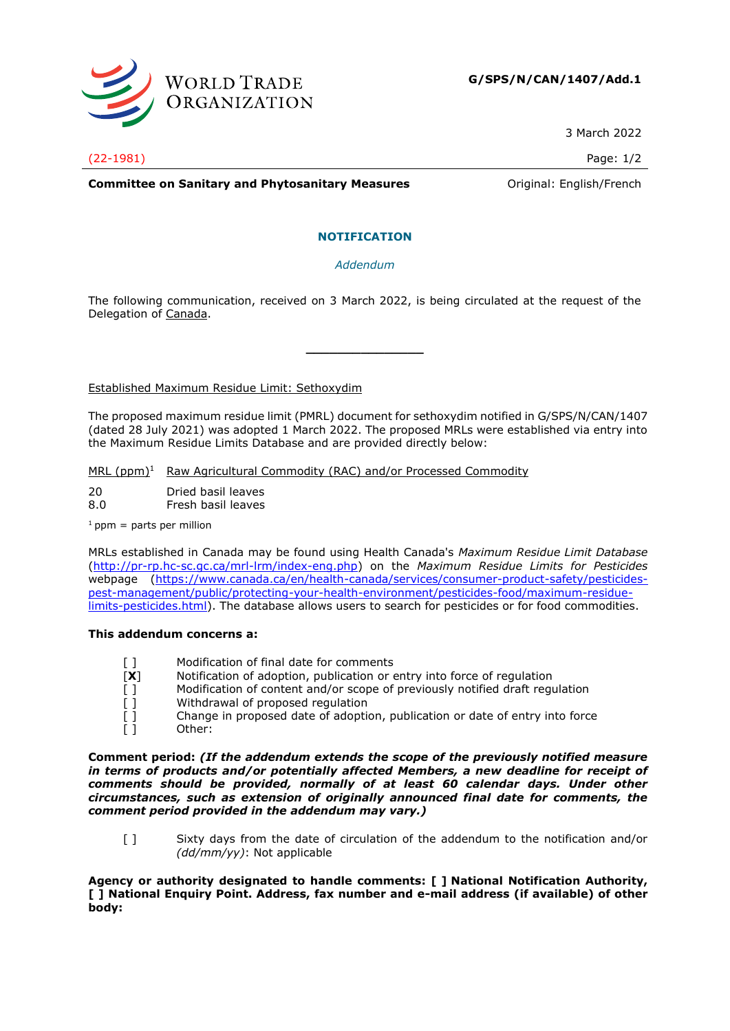

3 March 2022

(22-1981) Page: 1/2

**Committee on Sanitary and Phytosanitary Measures Committee on Sanitary and Phytosanitary Measures Committee Original:** English/French

## **NOTIFICATION**

*Addendum*

The following communication, received on 3 March 2022, is being circulated at the request of the Delegation of Canada.

**\_\_\_\_\_\_\_\_\_\_\_\_\_\_\_**

Established Maximum Residue Limit: Sethoxydim

The proposed maximum residue limit (PMRL) document for sethoxydim notified in G/SPS/N/CAN/1407 (dated 28 July 2021) was adopted 1 March 2022. The proposed MRLs were established via entry into the Maximum Residue Limits Database and are provided directly below:

MRL (ppm)<sup>1</sup> Raw Agricultural Commodity (RAC) and/or Processed Commodity

20 Dried basil leaves

8.0 Fresh basil leaves

 $1$  ppm = parts per million

MRLs established in Canada may be found using Health Canada's *Maximum Residue Limit Database* [\(http://pr-rp.hc-sc.gc.ca/mrl-lrm/index-eng.php\)](http://pr-rp.hc-sc.gc.ca/mrl-lrm/index-eng.php) on the *Maximum Residue Limits for Pesticides*  webpage [\(https://www.canada.ca/en/health-canada/services/consumer-product-safety/pesticides](https://www.canada.ca/en/health-canada/services/consumer-product-safety/pesticides-pest-management/public/protecting-your-health-environment/pesticides-food/maximum-residue-limits-pesticides.html)[pest-management/public/protecting-your-health-environment/pesticides-food/maximum-residue](https://www.canada.ca/en/health-canada/services/consumer-product-safety/pesticides-pest-management/public/protecting-your-health-environment/pesticides-food/maximum-residue-limits-pesticides.html)[limits-pesticides.html\)](https://www.canada.ca/en/health-canada/services/consumer-product-safety/pesticides-pest-management/public/protecting-your-health-environment/pesticides-food/maximum-residue-limits-pesticides.html). The database allows users to search for pesticides or for food commodities.

## **This addendum concerns a:**

- [] Modification of final date for comments
- [**X**] Notification of adoption, publication or entry into force of regulation
- [ ] Modification of content and/or scope of previously notified draft regulation
- [ ] Withdrawal of proposed regulation
- [] Change in proposed date of adoption, publication or date of entry into force
- [ ] Other:

**Comment period:** *(If the addendum extends the scope of the previously notified measure in terms of products and/or potentially affected Members, a new deadline for receipt of comments should be provided, normally of at least 60 calendar days. Under other circumstances, such as extension of originally announced final date for comments, the comment period provided in the addendum may vary.)*

[ ] Sixty days from the date of circulation of the addendum to the notification and/or *(dd/mm/yy)*: Not applicable

**Agency or authority designated to handle comments: [ ] National Notification Authority, [ ] National Enquiry Point. Address, fax number and e-mail address (if available) of other body:**